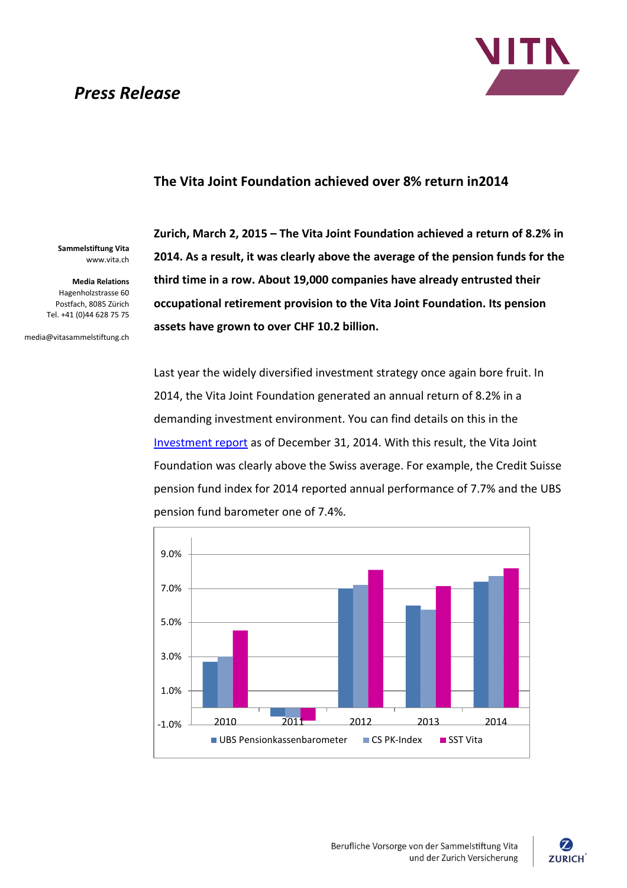# *Press Release*



### **The Vita Joint Foundation achieved over 8% return in2014**

**Sammelstiftung Vita** www.vita.ch

**Media Relations** Hagenholzstrasse 60 Postfach, 8085 Zürich Tel. +41 (0)44 628 75 75

media@vitasammelstiftung.ch

**Zurich, March 2, 2015 – The Vita Joint Foundation achieved a return of 8.2% in 2014. As a result, it was clearly above the average of the pension funds for the third time in a row. About 19,000 companies have already entrusted their occupational retirement provision to the Vita Joint Foundation. Its pension assets have grown to over CHF 10.2 billion.**

Last year the widely diversified investment strategy once again bore fruit. In 2014, the Vita Joint Foundation generated an annual return of 8.2% in a demanding investment environment. You can find details on this in the [Investment report](http://www.vitasammelstiftung.ch/internet/vitasammelstiftung-ch/sitecollectiondocuments/en/Anlagereporting_20141231_e.pdf) as of December 31, 2014. With this result, the Vita Joint Foundation was clearly above the Swiss average. For example, the Credit Suisse pension fund index for 2014 reported annual performance of 7.7% and the UBS pension fund barometer one of 7.4%.



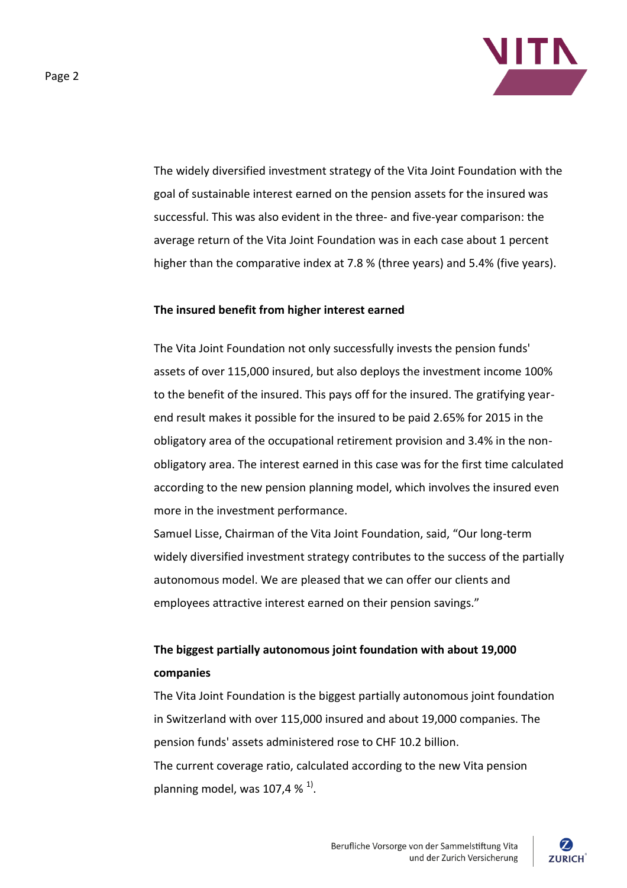

The widely diversified investment strategy of the Vita Joint Foundation with the goal of sustainable interest earned on the pension assets for the insured was successful. This was also evident in the three- and five-year comparison: the average return of the Vita Joint Foundation was in each case about 1 percent higher than the comparative index at 7.8 % (three years) and 5.4% (five years).

### **The insured benefit from higher interest earned**

The Vita Joint Foundation not only successfully invests the pension funds' assets of over 115,000 insured, but also deploys the investment income 100% to the benefit of the insured. This pays off for the insured. The gratifying yearend result makes it possible for the insured to be paid 2.65% for 2015 in the obligatory area of the occupational retirement provision and 3.4% in the nonobligatory area. The interest earned in this case was for the first time calculated according to the new pension planning model, which involves the insured even more in the investment performance.

Samuel Lisse, Chairman of the Vita Joint Foundation, said, "Our long-term widely diversified investment strategy contributes to the success of the partially autonomous model. We are pleased that we can offer our clients and employees attractive interest earned on their pension savings."

## **The biggest partially autonomous joint foundation with about 19,000 companies**

The Vita Joint Foundation is the biggest partially autonomous joint foundation in Switzerland with over 115,000 insured and about 19,000 companies. The pension funds' assets administered rose to CHF 10.2 billion. The current coverage ratio, calculated according to the new Vita pension planning model, was 107,4 %  $^{1}$ .